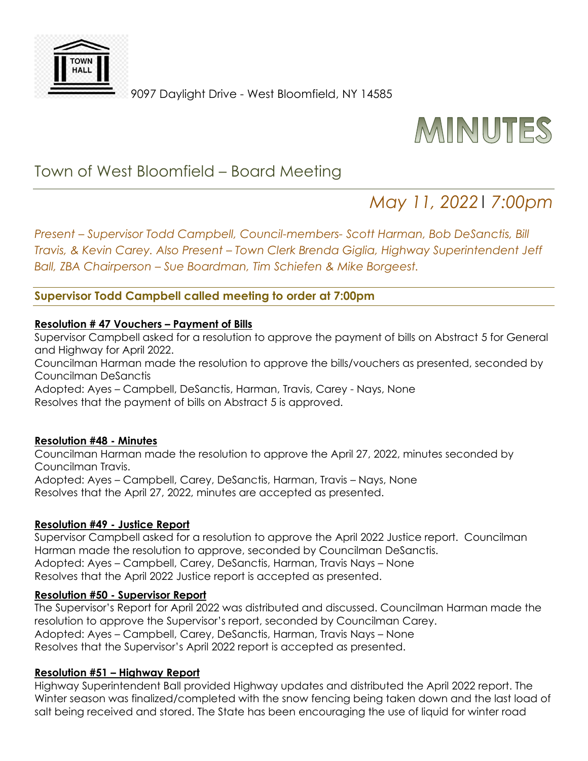

9097 Daylight Drive - West Bloomfield, NY 14585



## Town of West Bloomfield – Board Meeting

# *May 11, 2022*| *7:00pm*

*Present – Supervisor Todd Campbell, Council-members- Scott Harman, Bob DeSanctis, Bill Travis, & Kevin Carey. Also Present – Town Clerk Brenda Giglia, Highway Superintendent Jeff Ball, ZBA Chairperson – Sue Boardman, Tim Schiefen & Mike Borgeest.* 

## **Supervisor Todd Campbell called meeting to order at 7:00pm**

#### **Resolution # 47 Vouchers – Payment of Bills**

Supervisor Campbell asked for a resolution to approve the payment of bills on Abstract 5 for General and Highway for April 2022.

Councilman Harman made the resolution to approve the bills/vouchers as presented, seconded by Councilman DeSanctis

Adopted: Ayes – Campbell, DeSanctis, Harman, Travis, Carey - Nays, None Resolves that the payment of bills on Abstract 5 is approved.

#### **Resolution #48 - Minutes**

Councilman Harman made the resolution to approve the April 27, 2022, minutes seconded by Councilman Travis. Adopted: Ayes – Campbell, Carey, DeSanctis, Harman, Travis – Nays, None Resolves that the April 27, 2022, minutes are accepted as presented.

#### **Resolution #49 - Justice Report**

Supervisor Campbell asked for a resolution to approve the April 2022 Justice report. Councilman Harman made the resolution to approve, seconded by Councilman DeSanctis. Adopted: Ayes – Campbell, Carey, DeSanctis, Harman, Travis Nays – None Resolves that the April 2022 Justice report is accepted as presented.

#### **Resolution #50 - Supervisor Report**

The Supervisor's Report for April 2022 was distributed and discussed. Councilman Harman made the resolution to approve the Supervisor's report, seconded by Councilman Carey. Adopted: Ayes – Campbell, Carey, DeSanctis, Harman, Travis Nays – None Resolves that the Supervisor's April 2022 report is accepted as presented.

#### **Resolution #51 – Highway Report**

Highway Superintendent Ball provided Highway updates and distributed the April 2022 report. The Winter season was finalized/completed with the snow fencing being taken down and the last load of salt being received and stored. The State has been encouraging the use of liquid for winter road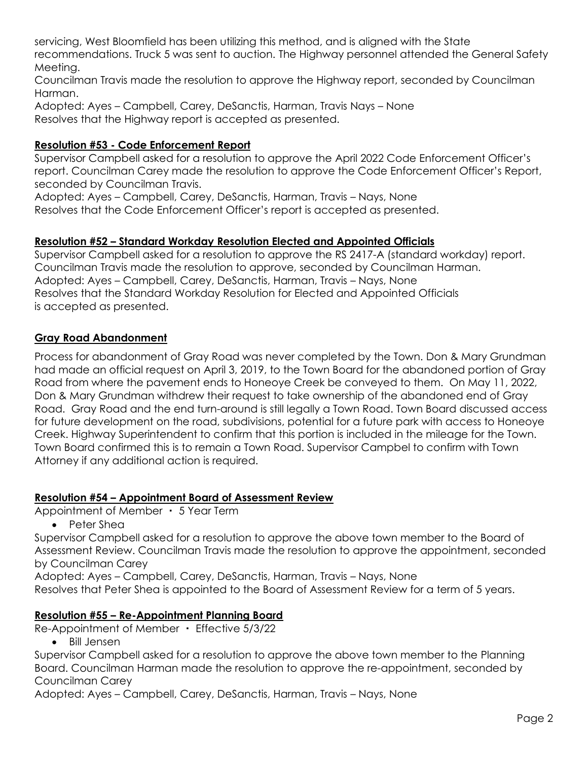servicing, West Bloomfield has been utilizing this method, and is aligned with the State recommendations. Truck 5 was sent to auction. The Highway personnel attended the General Safety Meeting.

Councilman Travis made the resolution to approve the Highway report, seconded by Councilman Harman.

Adopted: Ayes – Campbell, Carey, DeSanctis, Harman, Travis Nays – None Resolves that the Highway report is accepted as presented.

## **Resolution #53 - Code Enforcement Report**

Supervisor Campbell asked for a resolution to approve the April 2022 Code Enforcement Officer's report. Councilman Carey made the resolution to approve the Code Enforcement Officer's Report, seconded by Councilman Travis.

Adopted: Ayes – Campbell, Carey, DeSanctis, Harman, Travis – Nays, None Resolves that the Code Enforcement Officer's report is accepted as presented.

## **Resolution #52 – Standard Workday Resolution Elected and Appointed Officials**

Supervisor Campbell asked for a resolution to approve the RS 2417-A (standard workday) report. Councilman Travis made the resolution to approve, seconded by Councilman Harman. Adopted: Ayes – Campbell, Carey, DeSanctis, Harman, Travis – Nays, None Resolves that the Standard Workday Resolution for Elected and Appointed Officials is accepted as presented.

## **Gray Road Abandonment**

Process for abandonment of Gray Road was never completed by the Town. Don & Mary Grundman had made an official request on April 3, 2019, to the Town Board for the abandoned portion of Gray Road from where the pavement ends to Honeoye Creek be conveyed to them. On May 11, 2022, Don & Mary Grundman withdrew their request to take ownership of the abandoned end of Gray Road. Gray Road and the end turn-around is still legally a Town Road. Town Board discussed access for future development on the road, subdivisions, potential for a future park with access to Honeoye Creek. Highway Superintendent to confirm that this portion is included in the mileage for the Town. Town Board confirmed this is to remain a Town Road. Supervisor Campbel to confirm with Town Attorney if any additional action is required.

## **Resolution #54 – Appointment Board of Assessment Review**

Appointment of Member ・ 5 Year Term

Peter Shea

Supervisor Campbell asked for a resolution to approve the above town member to the Board of Assessment Review. Councilman Travis made the resolution to approve the appointment, seconded by Councilman Carey

Adopted: Ayes – Campbell, Carey, DeSanctis, Harman, Travis – Nays, None Resolves that Peter Shea is appointed to the Board of Assessment Review for a term of 5 years.

## **Resolution #55 – Re-Appointment Planning Board**

Re-Appointment of Member ・ Effective 5/3/22

• Bill Jensen

Supervisor Campbell asked for a resolution to approve the above town member to the Planning Board. Councilman Harman made the resolution to approve the re-appointment, seconded by Councilman Carey

Adopted: Ayes – Campbell, Carey, DeSanctis, Harman, Travis – Nays, None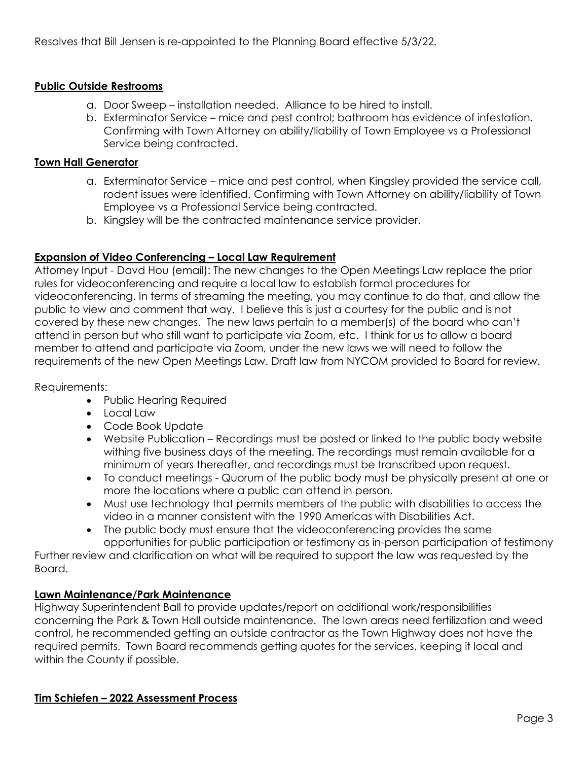Resolves that Bill Jensen is re-appointed to the Planning Board effective 5/3/22.

## **Public Outside Restrooms**

- a. Door Sweep installation needed. Alliance to be hired to install.
- b. Exterminator Service mice and pest control; bathroom has evidence of infestation. Confirming with Town Attorney on ability/liability of Town Employee vs a Professional Service being contracted.

#### **Town Hall Generator**

- a. Exterminator Service mice and pest control, when Kingsley provided the service call, rodent issues were identified. Confirming with Town Attorney on ability/liability of Town Employee vs a Professional Service being contracted.
- b. Kingsley will be the contracted maintenance service provider.

## **Expansion of Video Conferencing – Local Law Requirement**

Attorney Input - Davd Hou (email): The new changes to the Open Meetings Law replace the prior rules for videoconferencing and require a local law to establish formal procedures for videoconferencing. In terms of streaming the meeting, you may continue to do that, and allow the public to view and comment that way. I believe this is just a courtesy for the public and is not covered by these new changes. The new laws pertain to a member(s) of the board who can't attend in person but who still want to participate via Zoom, etc. I think for us to allow a board member to attend and participate via Zoom, under the new laws we will need to follow the requirements of the new Open Meetings Law. Draft law from NYCOM provided to Board for review.

Requirements:

- Public Hearing Required
- Local Law
- Code Book Update
- Website Publication Recordings must be posted or linked to the public body website withing five business days of the meeting. The recordings must remain available for a minimum of years thereafter, and recordings must be transcribed upon request.
- To conduct meetings Quorum of the public body must be physically present at one or more the locations where a public can attend in person.
- Must use technology that permits members of the public with disabilities to access the video in a manner consistent with the 1990 Americas with Disabilities Act.
- The public body must ensure that the videoconferencing provides the same opportunities for public participation or testimony as in-person participation of testimony

Further review and clarification on what will be required to support the law was requested by the Board.

## **Lawn Maintenance/Park Maintenance**

Highway Superintendent Ball to provide updates/report on additional work/responsibilities concerning the Park & Town Hall outside maintenance. The lawn areas need fertilization and weed control, he recommended getting an outside contractor as the Town Highway does not have the required permits. Town Board recommends getting quotes for the services, keeping it local and within the County if possible.

## **Tim Schiefen – 2022 Assessment Process**